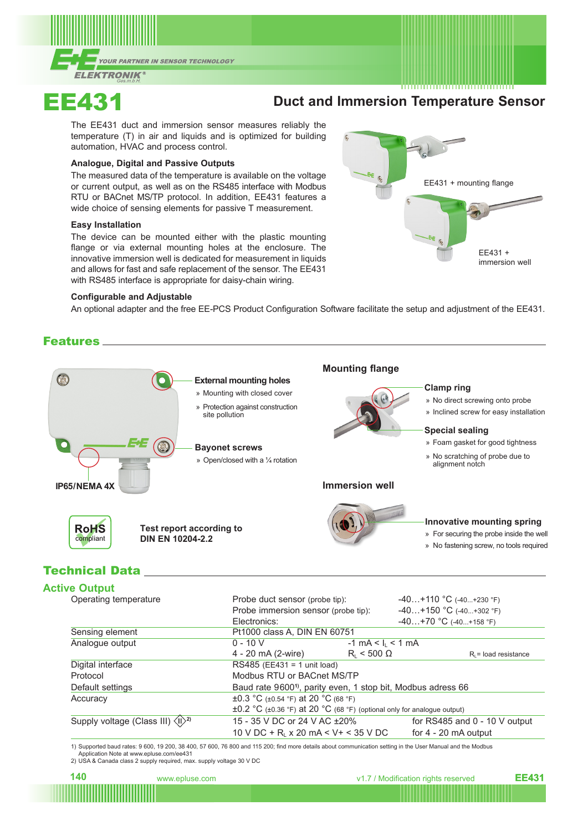

# EE431 **Duct and Immersion Temperature Sensor**

The EE431 duct and immersion sensor measures reliably the temperature (T) in air and liquids and is optimized for building automation, HVAC and process control.

#### **Analogue, Digital and Passive Outputs**

The measured data of the temperature is available on the voltage or current output, as well as on the RS485 interface with Modbus RTU or BACnet MS/TP protocol. In addition, EE431 features a wide choice of sensing elements for passive T measurement.

#### **Easy Installation**

The device can be mounted either with the plastic mounting flange or via external mounting holes at the enclosure. The innovative immersion well is dedicated for measurement in liquids and allows for fast and safe replacement of the sensor. The EE431 with RS485 interface is appropriate for daisy-chain wiring.

#### **Configurable and Adjustable**

An optional adapter and the free EE-PCS Product Configuration Software facilitate the setup and adjustment of the EE431.

## Features



# Technical Data

## **Active Output**

| Operating temperature                                         | Probe duct sensor (probe tip):                                          |                                                                                    | $-40+110$ °C (-40+230 °F) |                                 |  |
|---------------------------------------------------------------|-------------------------------------------------------------------------|------------------------------------------------------------------------------------|---------------------------|---------------------------------|--|
|                                                               |                                                                         | Probe immersion sensor (probe tip):                                                |                           | $-40+150$ °C (-40+302 °F)       |  |
|                                                               | Electronics:                                                            |                                                                                    | $-40+70$ °C (-40+158 °F)  |                                 |  |
| Sensing element                                               | Pt1000 class A, DIN EN 60751                                            |                                                                                    |                           |                                 |  |
| Analogue output                                               | $0 - 10 V$                                                              | $-1$ mA < I <sub>i</sub> < 1 mA                                                    |                           |                                 |  |
|                                                               | 4 - 20 mA (2-wire)                                                      | $R_i$ < 500 $\Omega$                                                               |                           | $R1$ = load resistance          |  |
| Digital interface                                             | RS485 (EE431 = 1 unit load)                                             |                                                                                    |                           |                                 |  |
| Protocol                                                      | Modbus RTU or BACnet MS/TP                                              |                                                                                    |                           |                                 |  |
| Default settings                                              | Baud rate 9600 <sup>1</sup> , parity even, 1 stop bit, Modbus adress 66 |                                                                                    |                           |                                 |  |
| Accuracy                                                      |                                                                         | $\pm 0.3$ °C ( $\pm 0.54$ °F) at 20 °C (68 °F)                                     |                           |                                 |  |
|                                                               |                                                                         | $\pm 0.2$ °C ( $\pm 0.36$ °F) at 20 °C (68 °F) (optional only for analogue output) |                           |                                 |  |
| Supply voltage (Class III) $\langle \mathbb{I} \rangle^{2}$ ) | 15 - 35 V DC or 24 V AC ± 20%                                           |                                                                                    |                           | for RS485 and $0 - 10$ V output |  |
|                                                               | 10 V DC + R <sub>i</sub> x 20 mA < V + < 35 V DC                        |                                                                                    | for $4 - 20$ mA output    |                                 |  |

1) Supported baud rates: 9 600, 19 200, 38 400, 57 600, 76 800 and 115 200; find more details about communication setting in the User Manual and the Modbus

Application Note at www.epluse.com/ee431

2) USA & Canada class 2 supply required, max. supply voltage 30 V DC



**140** www.epluse.com view v1.7 / Modification rights reserved **EE431**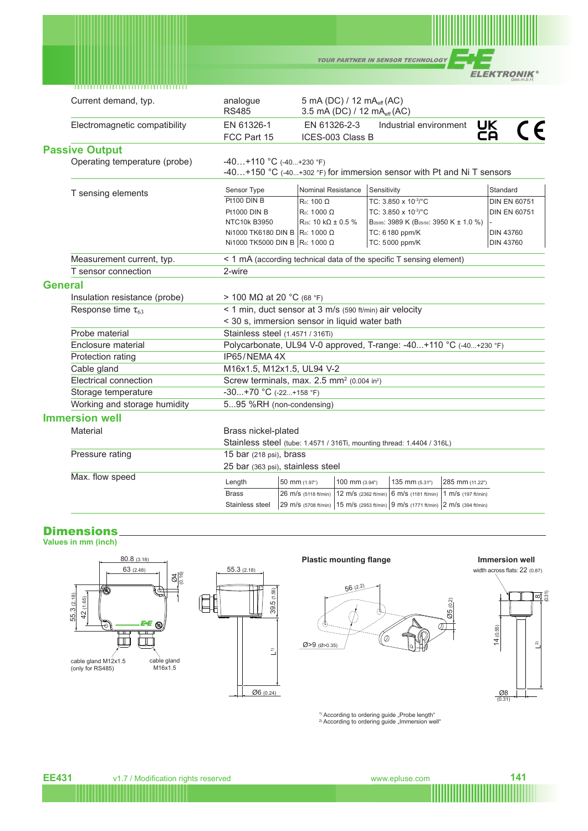| <b>YOUR PARTNER IN SENSOR TECHNOLOGY</b> |                                                        |
|------------------------------------------|--------------------------------------------------------|
|                                          | <b>ELEKTRONIK<sup>®</sup></b><br>$0 - - - - - - - - 1$ |

|         | ,,,,,,,,,,,,,,,,,,,,,,,,,,,,,,,,,,, |                                                                                                    |                           |                                                                                  |                                                                                              |                 |                        |
|---------|-------------------------------------|----------------------------------------------------------------------------------------------------|---------------------------|----------------------------------------------------------------------------------|----------------------------------------------------------------------------------------------|-----------------|------------------------|
|         | Current demand, typ.                | analogue<br><b>RS485</b>                                                                           |                           | 5 mA (DC) / 12 mA <sub>eff</sub> (AC)<br>3.5 mA (DC) / 12 mA <sub>eff</sub> (AC) |                                                                                              |                 |                        |
|         | Electromagnetic compatibility       | EN 61326-1<br>FCC Part 15                                                                          | EN 61326-2-3              | ICES-003 Class B                                                                 | Industrial environment                                                                       |                 | <b>UK</b><br>C E<br>ČÄ |
|         | <b>Passive Output</b>               |                                                                                                    |                           |                                                                                  |                                                                                              |                 |                        |
|         | Operating temperature (probe)       | $-40+110$ °C (-40+230 °F)<br>-40+150 °C (-40+302 °F) for immersion sensor with Pt and Ni T sensors |                           |                                                                                  |                                                                                              |                 |                        |
|         | T sensing elements                  | Sensor Type                                                                                        | <b>Nominal Resistance</b> | Sensitivity                                                                      |                                                                                              |                 | Standard               |
|         |                                     | Pt100 DIN B                                                                                        | $Ro: 100 \Omega$          |                                                                                  | TC: 3.850 x 10-3/°C                                                                          |                 | <b>DIN EN 60751</b>    |
|         |                                     | <b>Pt1000 DIN B</b>                                                                                | $Ro: 1000 \Omega$         |                                                                                  | TC: 3.850 x 10-3/°C                                                                          |                 | <b>DIN EN 60751</b>    |
|         |                                     | NTC10k B3950                                                                                       | $R_{25}$ : 10 kΩ ± 0.5 %  |                                                                                  | B <sub>25/85</sub> : 3989 K (B <sub>25/50</sub> : 3950 K ± 1.0 %)                            |                 |                        |
|         |                                     | Ni1000 TK6180 DIN B R <sub>0</sub> : 1000 Ω                                                        |                           |                                                                                  | TC: 6180 ppm/K                                                                               |                 | <b>DIN 43760</b>       |
|         |                                     | Ni1000 TK5000 DIN B   Ro: 1000 Ω                                                                   |                           |                                                                                  | TC: 5000 ppm/K                                                                               |                 | <b>DIN 43760</b>       |
|         | Measurement current, typ.           | < 1 mA (according technical data of the specific T sensing element)                                |                           |                                                                                  |                                                                                              |                 |                        |
|         | T sensor connection                 | 2-wire                                                                                             |                           |                                                                                  |                                                                                              |                 |                        |
| General |                                     |                                                                                                    |                           |                                                                                  |                                                                                              |                 |                        |
|         | Insulation resistance (probe)       | > 100 MΩ at 20 °C (68 °F)                                                                          |                           |                                                                                  |                                                                                              |                 |                        |
|         | Response time $\tau_{63}$           | < 1 min, duct sensor at 3 m/s (590 ft/min) air velocity                                            |                           |                                                                                  |                                                                                              |                 |                        |
|         |                                     | < 30 s, immersion sensor in liquid water bath                                                      |                           |                                                                                  |                                                                                              |                 |                        |
|         | Probe material                      | Stainless steel (1.4571 / 316Ti)                                                                   |                           |                                                                                  |                                                                                              |                 |                        |
|         | Enclosure material                  | Polycarbonate, UL94 V-0 approved, T-range: -40+110 °C (-40+230 °F)                                 |                           |                                                                                  |                                                                                              |                 |                        |
|         | Protection rating                   | IP65/NEMA 4X                                                                                       |                           |                                                                                  |                                                                                              |                 |                        |
|         | Cable gland                         | M16x1.5, M12x1.5, UL94 V-2                                                                         |                           |                                                                                  |                                                                                              |                 |                        |
|         | Electrical connection               | Screw terminals, max. 2.5 mm <sup>2</sup> (0.004 in <sup>2</sup> )                                 |                           |                                                                                  |                                                                                              |                 |                        |
|         | Storage temperature                 | $-30+70$ °C (-22+158 °F)                                                                           |                           |                                                                                  |                                                                                              |                 |                        |
|         | Working and storage humidity        | 595 %RH (non-condensing)                                                                           |                           |                                                                                  |                                                                                              |                 |                        |
|         | <b>Immersion well</b>               |                                                                                                    |                           |                                                                                  |                                                                                              |                 |                        |
|         | Material                            | Brass nickel-plated                                                                                |                           |                                                                                  |                                                                                              |                 |                        |
|         |                                     | Stainless steel (tube: 1.4571 / 316Ti, mounting thread: 1.4404 / 316L)                             |                           |                                                                                  |                                                                                              |                 |                        |
|         | Pressure rating                     | 15 bar (218 psi), brass                                                                            |                           |                                                                                  |                                                                                              |                 |                        |
|         |                                     | 25 bar (363 psi), stainless steel                                                                  |                           |                                                                                  |                                                                                              |                 |                        |
|         | Max. flow speed                     | Length                                                                                             | 50 mm (1.97")             | 100 mm (3.94")                                                                   | 135 mm (5.31")                                                                               | 285 mm (11.22") |                        |
|         |                                     | <b>Brass</b>                                                                                       | 26 m/s (5118 ft/min)      |                                                                                  | $ 12 \text{ m/s}$ (2362 ft/min) $ 6 \text{ m/s}$ (1181 ft/min) $ 1 \text{ m/s}$ (197 ft/min) |                 |                        |
|         |                                     | Stainless steel                                                                                    |                           |                                                                                  | 29 m/s (5708 ft/min)   15 m/s (2953 ft/min)   9 m/s (1771 ft/min)   2 m/s (394 ft/min)       |                 |                        |

## **Dimensions**

**Values in mm (inch)**

55.3 (2.18)

42 (1.65)



### **Plastic mounting flange Immersion well**

Ø>9 (Ø>0.35)

56 (2.2)

Ŭ



 $\begin{array}{c} \hline 2 \end{array}$ 

 $\widehat{\mathbf{z}}$ 

 $\overline{\mathbb{P}}$ 

 $\frac{008}{(0.31)}$ 



 $^{\text{1)}$  According to ordering guide "Probe length"<br><sup>2)</sup> According to ordering guide "Immersion well"

7ŀ,

0)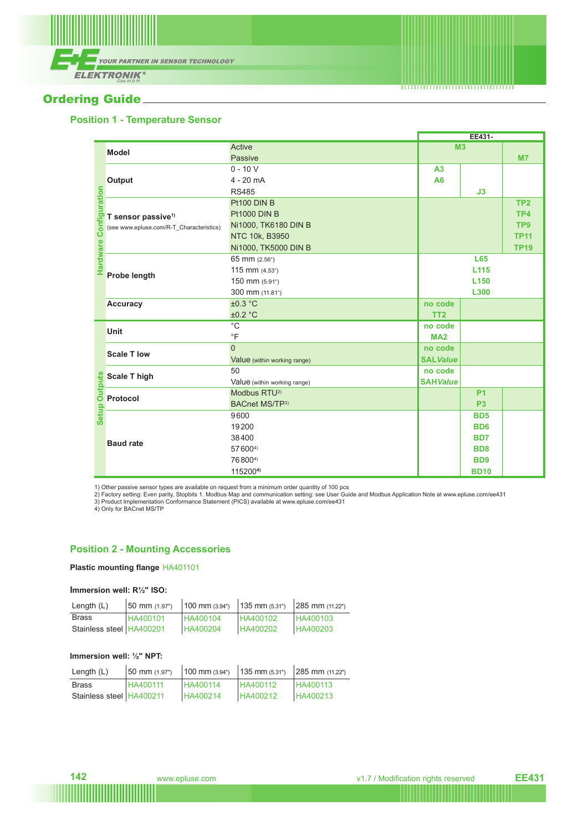

# **Ordering Guide\_**

## **Position 1 - Temperature Sensor**

|         |                                                        |                              | EE431-           |                  |                 |
|---------|--------------------------------------------------------|------------------------------|------------------|------------------|-----------------|
|         | <b>Model</b>                                           | Active                       | M <sub>3</sub>   |                  |                 |
|         |                                                        | Passive                      |                  |                  | M <sub>7</sub>  |
|         |                                                        | $0 - 10 V$                   | A <sub>3</sub>   |                  |                 |
|         | <b>Output</b>                                          | $4 - 20$ mA                  | A6               |                  |                 |
|         |                                                        | <b>RS485</b>                 |                  | J3               |                 |
| uration |                                                        | Pt100 DIN B                  |                  |                  | TP <sub>2</sub> |
|         | <b>Pt1000 DIN B</b>                                    |                              |                  |                  | TP4             |
|         | (see www.epluse.com/R-T Characteristics)               | Ni1000, TK6180 DIN B         |                  | TP <sub>9</sub>  |                 |
|         |                                                        | NTC 10k, B3950               |                  |                  | <b>TP11</b>     |
|         |                                                        | Ni1000, TK5000 DIN B         |                  |                  | <b>TP19</b>     |
|         |                                                        | 65 mm (2.56")                |                  | <b>L65</b>       |                 |
|         |                                                        | 115 mm $(4.53)$              | L <sub>115</sub> |                  |                 |
|         | <b>Probe length</b>                                    | 150 mm (5.91")               | L <sub>150</sub> |                  |                 |
|         |                                                        | 300 mm (11.81")              | L300             |                  |                 |
|         | <b>Accuracy</b>                                        | ±0.3 °C                      | no code          |                  |                 |
|         |                                                        | ±0.2 °C                      | TT <sub>2</sub>  |                  |                 |
|         | <b>Unit</b>                                            | $^{\circ}$ C                 | no code          |                  |                 |
|         |                                                        | $\overline{F}$               | <b>MA2</b>       |                  |                 |
|         | <b>Scale T low</b>                                     | $\overline{0}$               | no code          |                  |                 |
|         |                                                        | Value (within working range) | <b>SALValue</b>  |                  |                 |
|         | <b>Scale T high</b>                                    | 50                           | no code          |                  |                 |
|         |                                                        | Value (within working range) | <b>SAHValue</b>  |                  |                 |
| Setup   | $\frac{9}{2} \frac{\text{Scale T h}}{\text{Protocol}}$ | Modbus RTU <sup>2)</sup>     |                  | <b>P1</b>        |                 |
|         |                                                        | BACnet MS/TP3)               |                  | P <sub>3</sub>   |                 |
|         |                                                        | 9600                         |                  | <b>BD5</b>       |                 |
|         | <b>Baud rate</b>                                       | 19200                        |                  | BD <sub>6</sub>  |                 |
|         |                                                        | 38400                        |                  | B <sub>D</sub> 7 |                 |
|         |                                                        | 576004)                      |                  | B <sub>D</sub> 8 |                 |
|         |                                                        | 768004)                      |                  | B <sub>D</sub> 9 |                 |
|         |                                                        | 1152004)                     |                  | <b>BD10</b>      |                 |

1) Other passive sensor types are available on request from a minimum order quantity of 100 pcs<br>2) Factory setting: Even parity, Stopbits 1. Modbus Map and communication setting: see User Guide and Modbus Application Note

### **Position 2 - Mounting Accessories**

### **Plastic mounting flange** HA401101

#### **Immersion well: R½" ISO:**

| Length $(L)$               | $50 \text{ mm}$ (1.97") | $100$ mm $(3.94)$ | $135$ mm $(5.31")$ | $ 285$ mm $(11.22")$ |
|----------------------------|-------------------------|-------------------|--------------------|----------------------|
| <b>Brass</b>               | HA400101                | HA400104          | HA400102           | <b>HA400103</b>      |
| Stainless steel   HA400201 |                         | HA400204          | HA400202           | HA400203             |

## **Immersion well: ½" NPT:**

| Length $(L)$             | 50 mm (1.97") | 100 mm (3.94") | $135$ mm $(5.31")$ | $ 285$ mm $(11.22")$ |
|--------------------------|---------------|----------------|--------------------|----------------------|
| <b>Brass</b>             | HA400111      | HA400114       | HA400112           | <b>HA400113</b>      |
| Stainless steel HA400211 |               | HA400214       | HA400212           | HA400213             |